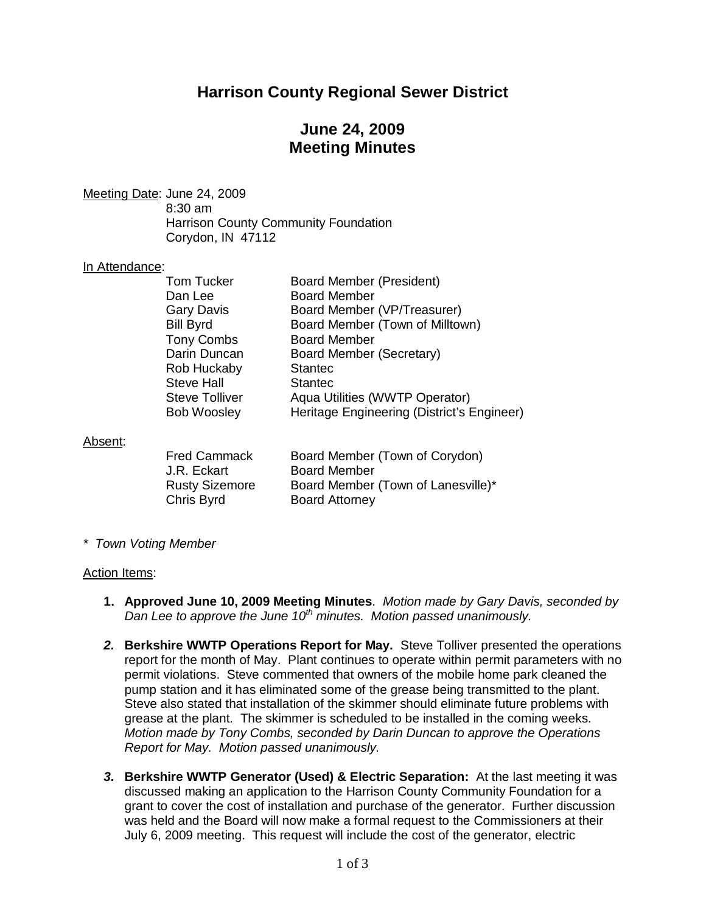## **Harrison County Regional Sewer District**

## **June 24, 2009 Meeting Minutes**

Meeting Date: June 24, 2009 8:30 am Harrison County Community Foundation Corydon, IN 47112

#### In Attendance:

| <b>Tom Tucker</b>     | <b>Board Member (President)</b>            |
|-----------------------|--------------------------------------------|
| Dan Lee               | <b>Board Member</b>                        |
| <b>Gary Davis</b>     | Board Member (VP/Treasurer)                |
| <b>Bill Byrd</b>      | Board Member (Town of Milltown)            |
| <b>Tony Combs</b>     | <b>Board Member</b>                        |
| Darin Duncan          | Board Member (Secretary)                   |
| Rob Huckaby           | <b>Stantec</b>                             |
| <b>Steve Hall</b>     | <b>Stantec</b>                             |
| <b>Steve Tolliver</b> | Aqua Utilities (WWTP Operator)             |
| <b>Bob Woosley</b>    | Heritage Engineering (District's Engineer) |
|                       |                                            |
|                       |                                            |

Absent:

| <b>Fred Cammack</b>   | Board Member (Town of Corydon)     |
|-----------------------|------------------------------------|
| J.R. Eckart           | <b>Board Member</b>                |
| <b>Rusty Sizemore</b> | Board Member (Town of Lanesville)* |
| Chris Byrd            | <b>Board Attorney</b>              |

*\* Town Voting Member*

#### Action Items:

- **1. Approved June 10, 2009 Meeting Minutes**. *Motion made by Gary Davis, seconded by Dan Lee to approve the June 10th minutes. Motion passed unanimously.*
- *2.* **Berkshire WWTP Operations Report for May.** Steve Tolliver presented the operations report for the month of May. Plant continues to operate within permit parameters with no permit violations. Steve commented that owners of the mobile home park cleaned the pump station and it has eliminated some of the grease being transmitted to the plant. Steve also stated that installation of the skimmer should eliminate future problems with grease at the plant. The skimmer is scheduled to be installed in the coming weeks. *Motion made by Tony Combs, seconded by Darin Duncan to approve the Operations Report for May. Motion passed unanimously.*
- *3.* **Berkshire WWTP Generator (Used) & Electric Separation:** At the last meeting it was discussed making an application to the Harrison County Community Foundation for a grant to cover the cost of installation and purchase of the generator. Further discussion was held and the Board will now make a formal request to the Commissioners at their July 6, 2009 meeting. This request will include the cost of the generator, electric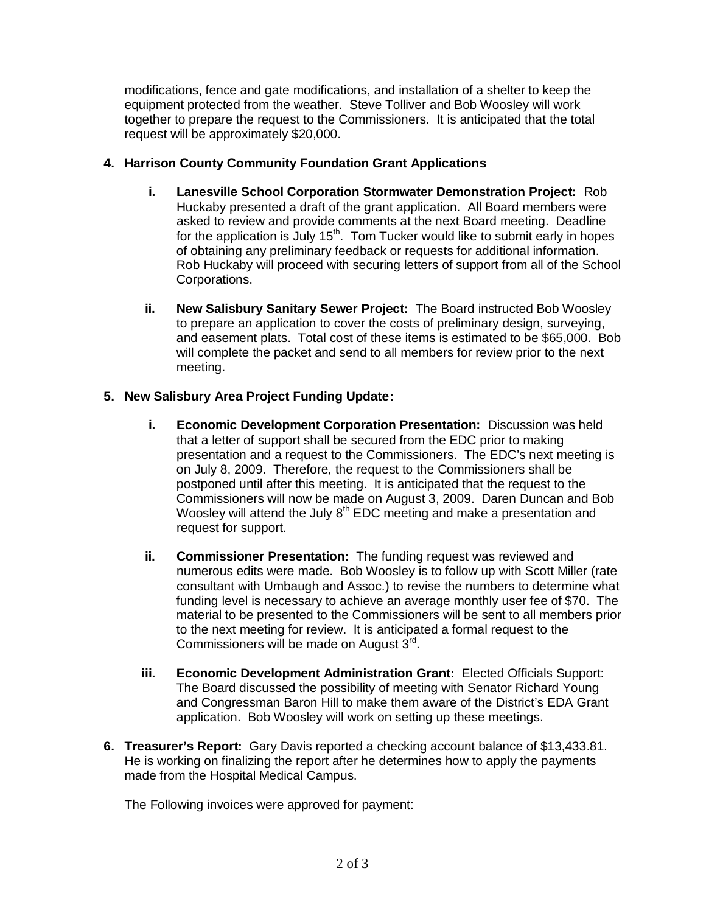modifications, fence and gate modifications, and installation of a shelter to keep the equipment protected from the weather. Steve Tolliver and Bob Woosley will work together to prepare the request to the Commissioners. It is anticipated that the total request will be approximately \$20,000.

### **4. Harrison County Community Foundation Grant Applications**

- **i. Lanesville School Corporation Stormwater Demonstration Project:** Rob Huckaby presented a draft of the grant application. All Board members were asked to review and provide comments at the next Board meeting. Deadline for the application is July  $15<sup>th</sup>$ . Tom Tucker would like to submit early in hopes of obtaining any preliminary feedback or requests for additional information. Rob Huckaby will proceed with securing letters of support from all of the School Corporations.
- **ii. New Salisbury Sanitary Sewer Project:** The Board instructed Bob Woosley to prepare an application to cover the costs of preliminary design, surveying, and easement plats. Total cost of these items is estimated to be \$65,000. Bob will complete the packet and send to all members for review prior to the next meeting.

### **5. New Salisbury Area Project Funding Update:**

- **i. Economic Development Corporation Presentation:** Discussion was held that a letter of support shall be secured from the EDC prior to making presentation and a request to the Commissioners. The EDC's next meeting is on July 8, 2009. Therefore, the request to the Commissioners shall be postponed until after this meeting. It is anticipated that the request to the Commissioners will now be made on August 3, 2009. Daren Duncan and Bob Woosley will attend the July  $8<sup>th</sup>$  EDC meeting and make a presentation and request for support.
- **ii. Commissioner Presentation:** The funding request was reviewed and numerous edits were made. Bob Woosley is to follow up with Scott Miller (rate consultant with Umbaugh and Assoc.) to revise the numbers to determine what funding level is necessary to achieve an average monthly user fee of \$70. The material to be presented to the Commissioners will be sent to all members prior to the next meeting for review. It is anticipated a formal request to the Commissioners will be made on August 3rd.
- **iii. Economic Development Administration Grant:** Elected Officials Support: The Board discussed the possibility of meeting with Senator Richard Young and Congressman Baron Hill to make them aware of the District's EDA Grant application. Bob Woosley will work on setting up these meetings.
- **6. Treasurer's Report:** Gary Davis reported a checking account balance of \$13,433.81. He is working on finalizing the report after he determines how to apply the payments made from the Hospital Medical Campus.

The Following invoices were approved for payment: